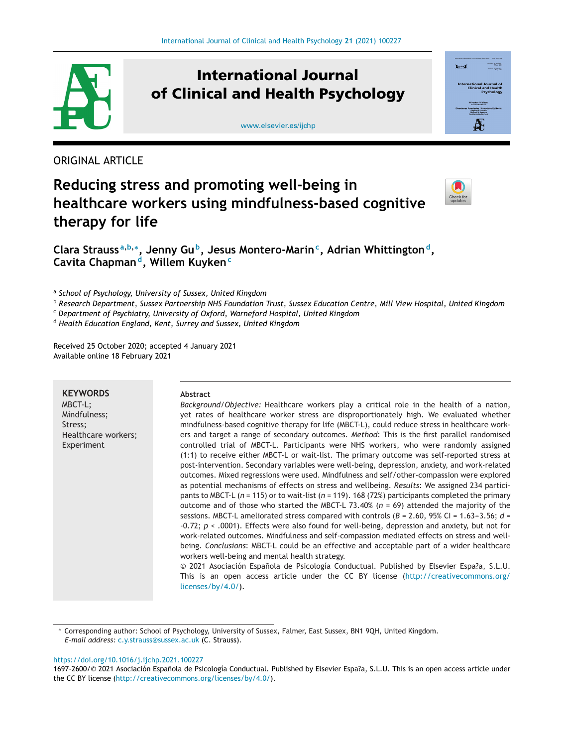

# **International Journal of Clinical and Health Psychology**

[www.elsevier.es/ijchp](http://www.elsevier.es/ijchp)



ORIGINAL ARTICLE

# **Reducing stress and promoting well-being in healthcare workers using mindfulness-based cognitive therapy for life**



**Clara Strauss <sup>a</sup>,b,∗, Jenny Gub, Jesus Montero-Marinc, Adrian Whittingtond, Cavita Chapmand, Willem Kuyken<sup>c</sup>**

<sup>a</sup> *School of Psychology, University of Sussex, United Kingdom*

<sup>b</sup> Research Department, Sussex Partnership NHS Foundation Trust, Sussex Education Centre, Mill View Hospital, United Kingdom

<sup>c</sup> *Department of Psychiatry, University of Oxford, Warneford Hospital, United Kingdom*

<sup>d</sup> *Health Education England, Kent, Surrey and Sussex, United Kingdom*

Received 25 October 2020; accepted 4 January 2021 Available online 18 February 2021

## **KEYWORDS** MBCT-L; Mindfulness; Stress; Healthcare workers; Experiment

## **Abstract**

*Background/Objective:* Healthcare workers play a critical role in the health of a nation, yet rates of healthcare worker stress are disproportionately high. We evaluated whether mindfulness-based cognitive therapy for life (MBCT-L), could reduce stress in healthcare workers and target a range of secondary outcomes. *Method*: This is the first parallel randomised controlled trial of MBCT-L. Participants were NHS workers, who were randomly assigned (1:1) to receive either MBCT-L or wait-list. The primary outcome was self-reported stress at post-intervention. Secondary variables were well-being, depression, anxiety, and work-related outcomes. Mixed regressions were used. Mindfulness and self/other-compassion were explored as potential mechanisms of effects on stress and wellbeing. *Results*: We assigned 234 participants to MBCT-L (*n* = 115) or to wait-list (*n* = 119). 168 (72%) participants completed the primary outcome and of those who started the MBCT-L 73.40% (*n* = 69) attended the majority of the sessions. MBCT-L ameliorated stress compared with controls ( $B = 2.60$ ,  $95\%$  CI = 1.63-3.56;  $d =$ -0.72; *p* < .0001). Effects were also found for well-being, depression and anxiety, but not for work-related outcomes. Mindfulness and self-compassion mediated effects on stress and wellbeing. *Conclusions*: MBCT-L could be an effective and acceptable part of a wider healthcare workers well-being and mental health strategy.

© 2021 Asociación Española de Psicología Conductual. Published by Elsevier Espa?a, S.L.U. This is an open access article under the CC BY license ([http://creativecommons.org/](http://creativecommons.org/licenses/by/4.0/) [licenses/by/4.0/](http://creativecommons.org/licenses/by/4.0/)).

<https://doi.org/10.1016/j.ijchp.2021.100227>

<sup>∗</sup> Corresponding author: School of Psychology, University of Sussex, Falmer, East Sussex, BN1 9QH, United Kingdom. *E-mail address:* [c.y.strauss@sussex.ac.uk](mailto:c.y.strauss@sussex.ac.uk) (C. Strauss).

<sup>1697-2600/© 2021</sup> Asociación Española de Psicología Conductual. Published by Elsevier Espa?a, S.L.U. This is an open access article under the CC BY license [\(http://creativecommons.org/licenses/by/4.0/](http://creativecommons.org/licenses/by/4.0/)).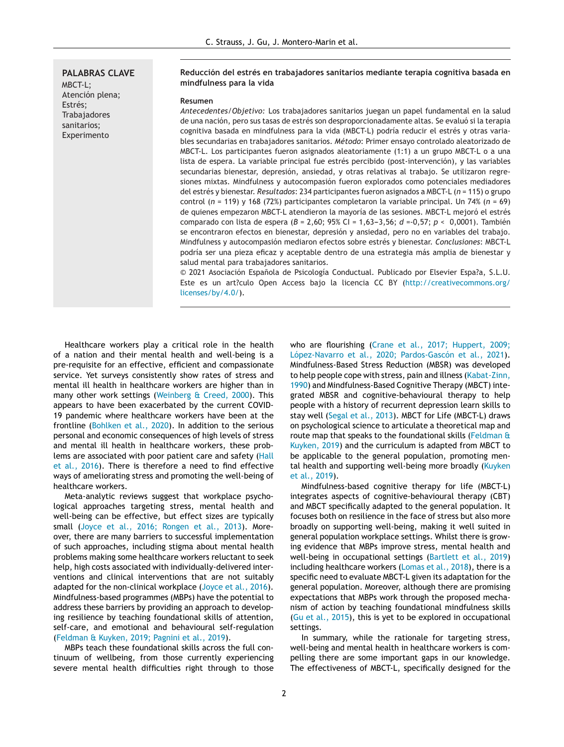**PALABRAS CLAVE** MBCT-L; Atención plena; Estrés; **Trabajadores** sanitarios; Experimento

#### **Reducción del estrés en trabajadores sanitarios mediante terapia cognitiva basada en mindfulness para la vida**

#### **Resumen**

*Antecedentes/Objetivo:* Los trabajadores sanitarios juegan un papel fundamental en la salud de una nación, pero sus tasas de estrés son desproporcionadamente altas. Se evaluó si la terapia cognitiva basada en mindfulness para la vida (MBCT-L) podría reducir el estrés y otras variables secundarias en trabajadores sanitarios. *Método*: Primer ensayo controlado aleatorizado de MBCT-L. Los participantes fueron asignados aleatoriamente (1:1) a un grupo MBCT-L o a una lista de espera. La variable principal fue estrés percibido (post-intervención), y las variables secundarias bienestar, depresión, ansiedad, y otras relativas al trabajo. Se utilizaron regresiones mixtas. Mindfulness y autocompasión fueron explorados como potenciales mediadores del estrés y bienestar. *Resultados*: 234 participantes fueron asignados a MBCT-L (*n* = 115) o grupo control (*n* = 119) y 168 (72%) participantes completaron la variable principal. Un 74% (*n* = 69) de quienes empezaron MBCT-L atendieron la mayoría de las sesiones. MBCT-L mejoró el estrés comparado con lista de espera ( $B = 2,60$ ;  $95\%$  CI = 1,63-3,56; *d* = 0,57; *p* < 0,0001). También se encontraron efectos en bienestar, depresión y ansiedad, pero no en variables del trabajo. Mindfulness y autocompasión mediaron efectos sobre estrés y bienestar. *Conclusiones*: MBCT-L podría ser una pieza eficaz y aceptable dentro de una estrategia más amplia de bienestar y salud mental para trabajadores sanitarios.

© 2021 Asociación Española de Psicología Conductual. Publicado por Elsevier Espa?a, S.L.U. Este es un art?culo Open Access bajo la licencia CC BY ([http://creativecommons.org/](http://creativecommons.org/licenses/by/4.0/) [licenses/by/4.0/](http://creativecommons.org/licenses/by/4.0/)).

Healthcare workers play a critical role in the health of a nation and their mental health and well-being is a pre-requisite for an effective, efficient and compassionate service. Yet surveys consistently show rates of stress and mental ill health in healthcare workers are higher than in many other work settings [\(Weinberg](#page-9-0) [&](#page-9-0) [Creed,](#page-9-0) [2000\).](#page-9-0) This appears to have been exacerbated by the current COVID-19 pandemic where healthcare workers have been at the frontline [\(Bohlken](#page-8-0) et [al.,](#page-8-0) [2020\).](#page-8-0) In addition to the serious personal and economic consequences of high levels of stress and mental ill health in healthcare workers, these problems are associated with poor patient care and safety ([Hall](#page-8-0) et [al.,](#page-8-0) [2016\).](#page-8-0) There is therefore a need to find effective ways of ameliorating stress and promoting the well-being of healthcare workers.

Meta-analytic reviews suggest that workplace psychological approaches targeting stress, mental health and well-being can be effective, but effect sizes are typically small [\(Joyce](#page-8-0) et [al.,](#page-8-0) [2016;](#page-8-0) [Rongen](#page-8-0) et [al.,](#page-8-0) [2013\).](#page-8-0) Moreover, there are many barriers to successful implementation of such approaches, including stigma about mental health problems making some healthcare workers reluctant to seek help, high costs associated with individually-delivered interventions and clinical interventions that are not suitably adapted for the non-clinical workplace ([Joyce](#page-8-0) et [al.,](#page-8-0) [2016\).](#page-8-0) Mindfulness-based programmes (MBPs) have the potential to address these barriers by providing an approach to developing resilience by teaching foundational skills of attention, self-care, and emotional and behavioural self-regulation ([Feldman](#page-8-0) [&](#page-8-0) [Kuyken,](#page-8-0) [2019;](#page-8-0) [Pagnini](#page-8-0) et [al.,](#page-8-0) [2019\).](#page-8-0)

MBPs teach these foundational skills across the full continuum of wellbeing, from those currently experiencing severe mental health difficulties right through to those who are flourishing ([Crane](#page-8-0) et [al.,](#page-8-0) [2017;](#page-8-0) [Huppert,](#page-8-0) [2009;](#page-8-0) [López-Navarro](#page-8-0) et [al.,](#page-8-0) [2020;](#page-8-0) [Pardos-Gascón](#page-8-0) et [al.,](#page-8-0) [2021\).](#page-8-0) Mindfulness-Based Stress Reduction (MBSR) was developed to help people cope with stress, pain and illness ([Kabat-Zinn,](#page-8-0) [1990\)](#page-8-0) and Mindfulness-Based Cognitive Therapy (MBCT) integrated MBSR and cognitive-behavioural therapy to help people with a history of recurrent depression learn skills to stay well [\(Segal](#page-9-0) et [al.,](#page-9-0) [2013\).](#page-9-0) MBCT for Life (MBCT-L) draws on psychological science to articulate a theoretical map and route map that speaks to the foundational skills ([Feldman](#page-8-0) [&](#page-8-0) [Kuyken,](#page-8-0) [2019\)](#page-8-0) and the curriculum is adapted from MBCT to be applicable to the general population, promoting mental health and supporting well-being more broadly [\(Kuyken](#page-8-0) et [al.,](#page-8-0) [2019\).](#page-8-0)

Mindfulness-based cognitive therapy for life (MBCT-L) integrates aspects of cognitive-behavioural therapy (CBT) and MBCT specifically adapted to the general population. It focuses both on resilience in the face of stress but also more broadly on supporting well-being, making it well suited in general population workplace settings. Whilst there is growing evidence that MBPs improve stress, mental health and well-being in occupational settings ([Bartlett](#page-8-0) et [al.,](#page-8-0) [2019\)](#page-8-0) including healthcare workers [\(Lomas](#page-8-0) et [al.,](#page-8-0) [2018\),](#page-8-0) there is a specific need to evaluate MBCT-L given its adaptation for the general population. Moreover, although there are promising expectations that MBPs work through the proposed mechanism of action by teaching foundational mindfulness skills ([Gu](#page-8-0) et [al.,](#page-8-0) [2015\),](#page-8-0) this is yet to be explored in occupational settings.

In summary, while the rationale for targeting stress, well-being and mental health in healthcare workers is compelling there are some important gaps in our knowledge. The effectiveness of MBCT-L, specifically designed for the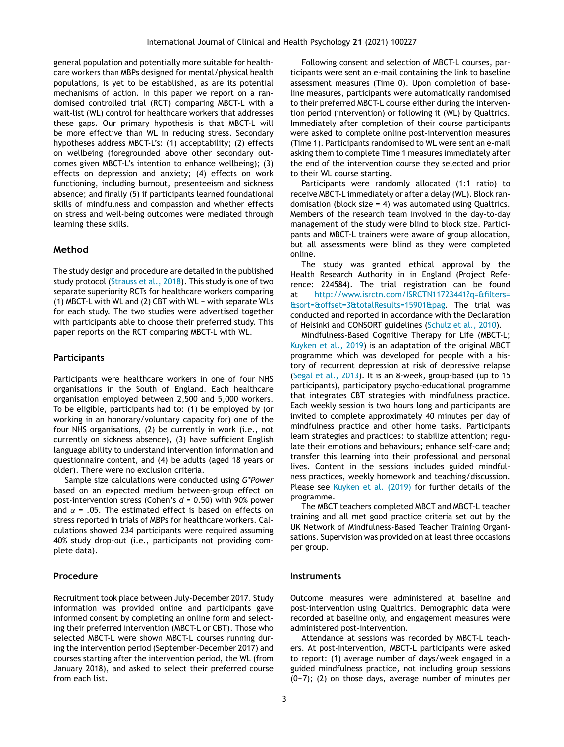general population and potentially more suitable for healthcare workers than MBPs designed for mental/physical health populations, is yet to be established, as are its potential mechanisms of action. In this paper we report on a randomised controlled trial (RCT) comparing MBCT-L with a wait-list (WL) control for healthcare workers that addresses these gaps. Our primary hypothesis is that MBCT-L will be more effective than WL in reducing stress. Secondary hypotheses address MBCT-L's: (1) acceptability; (2) effects on wellbeing (foregrounded above other secondary outcomes given MBCT-L's intention to enhance wellbeing); (3) effects on depression and anxiety; (4) effects on work functioning, including burnout, presenteeism and sickness absence; and finally (5) if participants learned foundational skills of mindfulness and compassion and whether effects on stress and well-being outcomes were mediated through learning these skills.

# **Method**

The study design and procedure are detailed in the published study protocol [\(Strauss](#page-9-0) et [al.,](#page-9-0) [2018\).](#page-9-0) This study is one of two separate superiority RCTs for healthcare workers comparing  $(1)$  MBCT-L with WL and  $(2)$  CBT with WL - with separate WLs for each study. The two studies were advertised together with participants able to choose their preferred study. This paper reports on the RCT comparing MBCT-L with WL.

## **Participants**

Participants were healthcare workers in one of four NHS organisations in the South of England. Each healthcare organisation employed between 2,500 and 5,000 workers. To be eligible, participants had to: (1) be employed by (or working in an honorary/voluntary capacity for) one of the four NHS organisations, (2) be currently in work (i.e., not currently on sickness absence), (3) have sufficient English language ability to understand intervention information and questionnaire content, and (4) be adults (aged 18 years or older). There were no exclusion criteria.

Sample size calculations were conducted using *G\*Power* based on an expected medium between-group effect on post-intervention stress (Cohen's *d* = 0.50) with 90% power and  $\alpha$  = .05. The estimated effect is based on effects on stress reported in trials of MBPs for healthcare workers. Calculations showed 234 participants were required assuming 40% study drop-out (i.e., participants not providing complete data).

## **Procedure**

Recruitment took place between July-December 2017. Study information was provided online and participants gave informed consent by completing an online form and selecting their preferred intervention (MBCT-L or CBT). Those who selected MBCT-L were shown MBCT-L courses running during the intervention period (September-December 2017) and courses starting after the intervention period, the WL (from January 2018), and asked to select their preferred course from each list.

Following consent and selection of MBCT-L courses, participants were sent an e-mail containing the link to baseline assessment measures (Time 0). Upon completion of baseline measures, participants were automatically randomised to their preferred MBCT-L course either during the intervention period (intervention) or following it (WL) by Qualtrics. Immediately after completion of their course participants were asked to complete online post-intervention measures (Time 1). Participants randomised to WL were sent an e-mail asking them to complete Time 1 measures immediately after the end of the intervention course they selected and prior to their WL course starting.

Participants were randomly allocated (1:1 ratio) to receive MBCT-L immediately or after a delay (WL). Block randomisation (block size = 4) was automated using Qualtrics. Members of the research team involved in the day-to-day management of the study were blind to block size. Participants and MBCT-L trainers were aware of group allocation, but all assessments were blind as they were completed online.

The study was granted ethical approval by the Health Research Authority in in England (Project Reference: 224584). The trial registration can be found [http://www.isrctn.com/ISRCTN11723441?q=&filters=](http://www.isrctn.com/ISRCTN11723441?q=&filters=&sort=&offset=3&totalResults=15901&pag) [&sort=&offset=3&totalResults=15901&pag.](http://www.isrctn.com/ISRCTN11723441?q=&filters=&sort=&offset=3&totalResults=15901&pag) The trial was conducted and reported in accordance with the Declaration of Helsinki and CONSORT guidelines ([Schulz](#page-9-0) et [al.,](#page-9-0) [2010\).](#page-9-0)

Mindfulness-Based Cognitive Therapy for Life (MBCT-L; [Kuyken](#page-8-0) et [al.,](#page-8-0) [2019\)](#page-8-0) is an adaptation of the original MBCT programme which was developed for people with a history of recurrent depression at risk of depressive relapse ([Segal](#page-9-0) et [al.,](#page-9-0) [2013\).](#page-9-0) It is an 8-week, group-based (up to 15 participants), participatory psycho-educational programme that integrates CBT strategies with mindfulness practice. Each weekly session is two hours long and participants are invited to complete approximately 40 minutes per day of mindfulness practice and other home tasks. Participants learn strategies and practices: to stabilize attention; regulate their emotions and behaviours; enhance self-care and; transfer this learning into their professional and personal lives. Content in the sessions includes guided mindfulness practices, weekly homework and teaching/discussion. Please see [Kuyken](#page-8-0) et [al.](#page-8-0) [\(2019\)](#page-8-0) for further details of the programme.

The MBCT teachers completed MBCT and MBCT-L teacher training and all met good practice criteria set out by the UK Network of Mindfulness-Based Teacher Training Organisations. Supervision was provided on at least three occasions per group.

## **Instruments**

Outcome measures were administered at baseline and post-intervention using Qualtrics. Demographic data were recorded at baseline only, and engagement measures were administered post-intervention.

Attendance at sessions was recorded by MBCT-L teachers. At post-intervention, MBCT-L participants were asked to report: (1) average number of days/week engaged in a guided mindfulness practice, not including group sessions  $(0-7)$ ; (2) on those days, average number of minutes per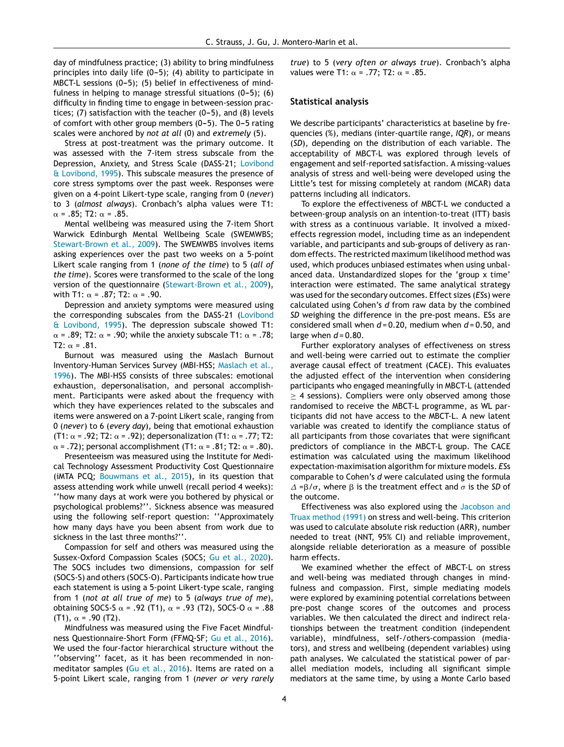day of mindfulness practice; (3) ability to bring mindfulness principles into daily life  $(0-5)$ ; (4) ability to participate in MBCT-L sessions  $(0-5)$ ; (5) belief in effectiveness of mindfulness in helping to manage stressful situations  $(0-5)$ ; (6) difficulty in finding time to engage in between-session practices; (7) satisfaction with the teacher  $(0-5)$ , and  $(8)$  levels of comfort with other group members  $(0-5)$ . The 0-5 rating scales were anchored by *not at all* (0) and *extremely* (5).

Stress at post-treatment was the primary outcome. It was assessed with the 7-item stress subscale from the Depression, Anxiety, and Stress Scale (DASS-21; [Lovibond](#page-9-0) [&](#page-9-0) [Lovibond,](#page-9-0) [1995\).](#page-9-0) This subscale measures the presence of core stress symptoms over the past week. Responses were given on a 4-point Likert-type scale, ranging from 0 (*never*) to 3 (*almost always*). Cronbach's alpha values were T1:  $\alpha$  = .85; T2:  $\alpha$  = .85.

Mental wellbeing was measured using the 7-item Short Warwick Edinburgh Mental Wellbeing Scale (SWEMWBS; [Stewart-Brown](#page-9-0) et [al.,](#page-9-0) [2009\).](#page-9-0) The SWEMWBS involves items asking experiences over the past two weeks on a 5-point Likert scale ranging from 1 (*none of the time*) to 5 (*all of the time*). Scores were transformed to the scale of the long version of the questionnaire [\(Stewart-Brown](#page-9-0) et [al.,](#page-9-0) [2009\),](#page-9-0) with T1:  $\alpha$  = .87; T2:  $\alpha$  = .90.

Depression and anxiety symptoms were measured using the corresponding subscales from the DASS-21 ([Lovibond](#page-9-0) [&](#page-9-0) [Lovibond,](#page-9-0) [1995\).](#page-9-0) The depression subscale showed T1:  $\alpha$  = .89; T2:  $\alpha$  = .90; while the anxiety subscale T1:  $\alpha$  = .78;  $T2: \alpha = .81.$ 

Burnout was measured using the Maslach Burnout Inventory-Human Services Survey (MBI-HSS; [Maslach](#page-9-0) et [al.,](#page-9-0) [1996\).](#page-9-0) The MBI-HSS consists of three subscales: emotional exhaustion, depersonalisation, and personal accomplishment. Participants were asked about the frequency with which they have experiences related to the subscales and items were answered on a 7-point Likert scale, ranging from 0 (*never*) to 6 (*every day*), being that emotional exhaustion (T1:  $\alpha$  = .92; T2:  $\alpha$  = .92); depersonalization (T1:  $\alpha$  = .77; T2:  $\alpha$  = .72); personal accomplishment (T1:  $\alpha$  = .81; T2:  $\alpha$  = .80).

Presenteeism was measured using the Institute for Medical Technology Assessment Productivity Cost Questionnaire (iMTA PCQ; [Bouwmans](#page-8-0) et [al.,](#page-8-0) [2015\),](#page-8-0) in its question that assess attending work while unwell (recall period 4 weeks): ''how many days at work were you bothered by physical or psychological problems?''. Sickness absence was measured using the following self-report question: ''Approximately how many days have you been absent from work due to sickness in the last three months?''.

Compassion for self and others was measured using the Sussex-Oxford Compassion Scales (SOCS; [Gu](#page-8-0) et [al.,](#page-8-0) [2020\).](#page-8-0) The SOCS includes two dimensions, compassion for self (SOCS-S) and others (SOCS-O). Participants indicate how true each statement is using a 5-point Likert-type scale, ranging from 1 (*not at all true of me*) to 5 (*always true of me*), obtaining SOCS-S  $\alpha$  = .92 (T1),  $\alpha$  = .93 (T2), SOCS-O  $\alpha$  = .88  $(T1), \alpha = .90$  (T2).

Mindfulness was measured using the Five Facet Mindfulness Questionnaire-Short Form (FFMQ-SF; [Gu](#page-8-0) et [al.,](#page-8-0) [2016\).](#page-8-0) We used the four-factor hierarchical structure without the ''observing'' facet, as it has been recommended in nonmeditator samples ([Gu](#page-8-0) et [al.,](#page-8-0) [2016\).](#page-8-0) Items are rated on a 5-point Likert scale, ranging from 1 (*never or very rarely* *true*) to 5 (*very often or always true*). Cronbach's alpha values were T1:  $\alpha$  = .77; T2:  $\alpha$  = .85.

#### **Statistical analysis**

We describe participants' characteristics at baseline by frequencies (%), medians (inter-quartile range, *IQR*), or means (*SD*), depending on the distribution of each variable. The acceptability of MBCT-L was explored through levels of engagement and self-reported satisfaction. A missing-values analysis of stress and well-being were developed using the Little's test for missing completely at random (MCAR) data patterns including all indicators.

To explore the effectiveness of MBCT-L we conducted a between-group analysis on an intention-to-treat (ITT) basis with stress as a continuous variable. It involved a mixedeffects regression model, including time as an independent variable, and participants and sub-groups of delivery as random effects. The restricted maximum likelihood method was used, which produces unbiased estimates when using unbalanced data. Unstandardized slopes for the 'group x time' interaction were estimated. The same analytical strategy was used for the secondary outcomes. Effect sizes (*ES*s) were calculated using Cohen's *d* from raw data by the combined *SD* weighing the difference in the pre-post means. ESs are considered small when *d* = 0.20, medium when *d* = 0.50, and large when  $d = 0.80$ .

Further exploratory analyses of effectiveness on stress and well-being were carried out to estimate the complier average causal effect of treatment (CACE). This evaluates the adjusted effect of the intervention when considering participants who engaged meaningfully in MBCT-L (attended  $\geq$  4 sessions). Compliers were only observed among those randomised to receive the MBCT-L programme, as WL participants did not have access to the MBCT-L. A new latent variable was created to identify the compliance status of all participants from those covariates that were significant predictors of compliance in the MBCT-L group. The CACE estimation was calculated using the maximum likelihood expectation-maximisation algorithm for mixture models. *ES*s comparable to Cohen's *d* were calculated using the formula  $\Delta$  = $\beta/\sigma$ , where  $\beta$  is the treatment effect and  $\sigma$  is the *SD* of the outcome.

Effectiveness was also explored using the [Jacobson](#page-8-0) [and](#page-8-0) [Truax](#page-8-0) [method](#page-8-0) [\(1991\)](#page-8-0) on stress and well-being. This criterion was used to calculate absolute risk reduction (ARR), number needed to treat (NNT, 95% CI) and reliable improvement, alongside reliable deterioration as a measure of possible harm effects.

We examined whether the effect of MBCT-L on stress and well-being was mediated through changes in mindfulness and compassion. First, simple mediating models were explored by examining potential correlations between pre-post change scores of the outcomes and process variables. We then calculated the direct and indirect relationships between the treatment condition (independent variable), mindfulness, self-/others-compassion (mediators), and stress and wellbeing (dependent variables) using path analyses. We calculated the statistical power of parallel mediation models, including all significant simple mediators at the same time, by using a Monte Carlo based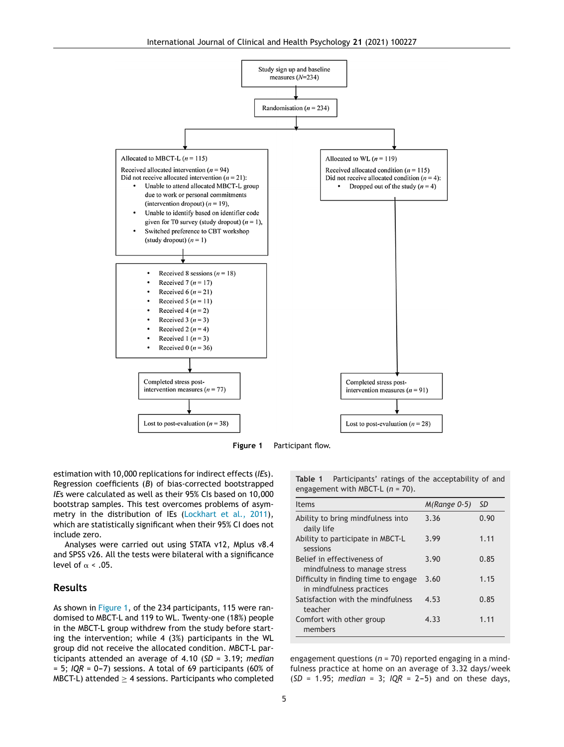<span id="page-4-0"></span>



estimation with 10,000 replications for indirect effects (*IE*s). Regression coefficients (*B*) of bias-corrected bootstrapped *IE*s were calculated as well as their 95% CIs based on 10,000 bootstrap samples. This test overcomes problems of asymmetry in the distribution of IEs ([Lockhart](#page-8-0) et [al.,](#page-8-0) [2011\),](#page-8-0) which are statistically significant when their 95% CI does not include zero.

Analyses were carried out using STATA v12, Mplus v8.4 and SPSS v26. All the tests were bilateral with a significance level of  $\alpha$  < .05.

## **Results**

As shown in Figure 1, of the 234 participants, 115 were randomised to MBCT-L and 119 to WL. Twenty-one (18%) people in the MBCT-L group withdrew from the study before starting the intervention; while 4 (3%) participants in the WL group did not receive the allocated condition. MBCT-L participants attended an average of 4.10 (*SD* = 3.19; *median*  $= 5$ ; *IQR* = 0-7) sessions. A total of 69 participants (60% of MBCT-L) attended  $\geq$  4 sessions. Participants who completed **Table 1** Participants' ratings of the acceptability of and engagement with MBCT-L (*n* = 70).

| <b>Items</b>                                                     | $M(Range 0-5)$ | <b>SD</b> |
|------------------------------------------------------------------|----------------|-----------|
| Ability to bring mindfulness into<br>daily life                  | 3.36           | 0.90      |
| Ability to participate in MBCT-L<br>sessions                     | 3.99           | 1.11      |
| Belief in effectiveness of<br>mindfulness to manage stress       | 3.90           | 0.85      |
| Difficulty in finding time to engage<br>in mindfulness practices | 3.60           | 1.15      |
| Satisfaction with the mindfulness<br>teacher                     | 4.53           | 0.85      |
| Comfort with other group<br>members                              | 4.33           | 1.11      |

engagement questions (*n* = 70) reported engaging in a mindfulness practice at home on an average of 3.32 days/week  $(SD = 1.95; median = 3; IQR = 2-5)$  and on these days,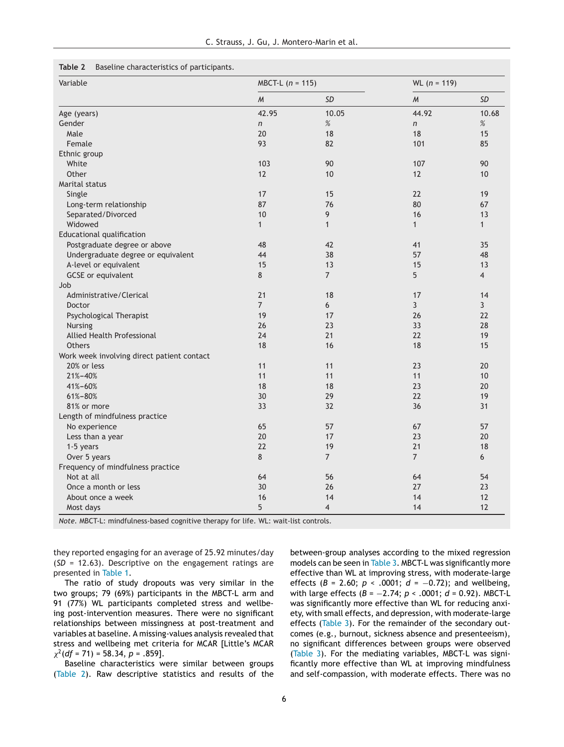#### **Table 2** Baseline characteristics of participants.

| Variable                                   | $MBCT-L$ (n = 115) |                | $WL (n = 119)$ |                |
|--------------------------------------------|--------------------|----------------|----------------|----------------|
|                                            | $\mathcal M$       | <b>SD</b>      | $\mathcal{M}$  | <b>SD</b>      |
| Age (years)                                | 42.95              | 10.05          | 44.92          | 10.68          |
| Gender                                     | $\overline{n}$     | $\%$           | $\overline{r}$ | $\%$           |
| Male                                       | 20                 | 18             | 18             | 15             |
| Female                                     | 93                 | 82             | 101            | 85             |
| Ethnic group                               |                    |                |                |                |
| White                                      | 103                | 90             | 107            | 90             |
| Other                                      | 12                 | 10             | 12             | 10             |
| Marital status                             |                    |                |                |                |
| Single                                     | 17                 | 15             | 22             | 19             |
| Long-term relationship                     | 87                 | 76             | 80             | 67             |
| Separated/Divorced                         | 10                 | 9              | 16             | 13             |
| Widowed                                    | $\mathbf{1}$       | $\mathbf{1}$   | $\mathbf{1}$   | $\mathbf{1}$   |
| Educational qualification                  |                    |                |                |                |
| Postgraduate degree or above               | 48                 | 42             | 41             | 35             |
| Undergraduate degree or equivalent         | 44                 | 38             | 57             | 48             |
| A-level or equivalent                      | 15                 | 13             | 15             | 13             |
| <b>GCSE</b> or equivalent                  | 8                  | $\overline{7}$ | 5              | $\overline{4}$ |
| Job                                        |                    |                |                |                |
| Administrative/Clerical                    | 21                 | 18             | 17             | 14             |
| <b>Doctor</b>                              | $\overline{7}$     | 6              | 3              | $\overline{3}$ |
| Psychological Therapist                    | 19                 | 17             | 26             | 22             |
| <b>Nursing</b>                             | 26                 | 23             | 33             | 28             |
| Allied Health Professional                 | 24                 | 21             | 22             | 19             |
| <b>Others</b>                              | 18                 | 16             | 18             | 15             |
| Work week involving direct patient contact |                    |                |                |                |
| 20% or less                                | 11                 | 11             | 23             | 20             |
| 21%-40%                                    | 11                 | 11             | 11             | 10             |
| 41%-60%                                    | 18                 | 18             | 23             | 20             |
| 61%-80%                                    | 30                 | 29             | 22             | 19             |
| 81% or more                                | 33                 | 32             | 36             | 31             |
| Length of mindfulness practice             |                    |                |                |                |
| No experience                              | 65                 | 57             | 67             | 57             |
| Less than a year                           | 20                 | 17             | 23             | 20             |
| 1-5 years                                  | 22                 | 19             | 21             | 18             |
| Over 5 years                               | 8                  | $\overline{7}$ | $\overline{7}$ | 6              |
| Frequency of mindfulness practice          |                    |                |                |                |
| Not at all                                 | 64                 | 56             | 64             | 54             |
| Once a month or less                       | 30                 | 26             | 27             | 23             |
| About once a week                          | 16                 | 14             | 14             | 12             |
| Most days                                  | 5                  | $\overline{4}$ | 14             | 12             |

*Note.* MBCT-L: mindfulness-based cognitive therapy for life. WL: wait-list controls.

they reported engaging for an average of 25.92 minutes/day (*SD* = 12.63). Descriptive on the engagement ratings are presented in [Table](#page-4-0) 1.

The ratio of study dropouts was very similar in the two groups; 79 (69%) participants in the MBCT-L arm and 91 (77%) WL participants completed stress and wellbeing post-intervention measures. There were no significant relationships between missingness at post-treatment and variables at baseline. A missing-values analysis revealed that stress and wellbeing met criteria for MCAR [Little's MCAR  $\chi^2$ (*df* = 71) = 58.34, *p* = .859].

Baseline characteristics were similar between groups (Table 2). Raw descriptive statistics and results of the between-group analyses according to the mixed regression models can be seen in [Table](#page-6-0) 3. MBCT-L was significantly more effective than WL at improving stress, with moderate-large effects (*B* = 2.60; *p* < .0001; *d* = −0.72); and wellbeing, with large effects (*B* = −2.74; *p* < .0001; *d* = 0.92). MBCT-L was significantly more effective than WL for reducing anxiety, with small effects, and depression, with moderate-large effects [\(Table](#page-6-0) 3). For the remainder of the secondary outcomes (e.g., burnout, sickness absence and presenteeism), no significant differences between groups were observed ([Table](#page-6-0) 3). For the mediating variables, MBCT-L was significantly more effective than WL at improving mindfulness and self-compassion, with moderate effects. There was no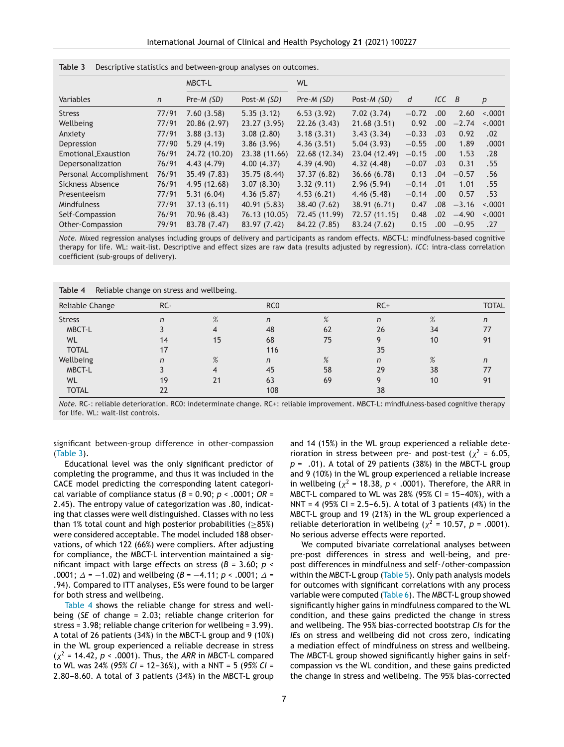|                         |              | <b>MBCT-L</b> |               | <b>WL</b>     |               |         |           |         |          |
|-------------------------|--------------|---------------|---------------|---------------|---------------|---------|-----------|---------|----------|
| Variables               | $\mathsf{n}$ | Pre-M (SD)    | Post-M (SD)   | Pre-M (SD)    | Post-M (SD)   | d       | $ICC$ $B$ |         | p        |
| <b>Stress</b>           | 77/91        | 7.60(3.58)    | 5.35(3.12)    | 6.53(3.92)    | 7.02(3.74)    | $-0.72$ | .00       | 2.60    | $-.0001$ |
| Wellbeing               | 77/91        | 20.86 (2.97)  | 23.27 (3.95)  | 22.26(3.43)   | 21.68(3.51)   | 0.92    | .00       | $-2.74$ | < 0.0001 |
| Anxiety                 | 77/91        | 3.88(3.13)    | 3.08(2.80)    | 3.18(3.31)    | 3.43(3.34)    | $-0.33$ | .03       | 0.92    | .02      |
| Depression              | 77/90        | 5.29(4.19)    | 3.86(3.96)    | 4.36(3.51)    | 5.04(3.93)    | $-0.55$ | .00.      | 1.89    | .0001    |
| Emotional_Exaustion     | 76/91        | 24.72 (10.20) | 23.38 (11.66) | 22.68 (12.34) | 23.04 (12.49) | $-0.15$ | .00.      | 1.53    | .28      |
| Depersonalization       | 76/91        | 4.43(4.79)    | 4.00(4.37)    | 4.39(4.90)    | 4.32(4.48)    | $-0.07$ | .03       | 0.31    | .55      |
| Personal_Accomplishment | 76/91        | 35.49 (7.83)  | 35.75 (8.44)  | 37.37 (6.82)  | 36.66 (6.78)  | 0.13    | .04       | $-0.57$ | .56      |
| Sickness Absence        | 76/91        | 4.95 (12.68)  | 3.07(8.30)    | 3.32(9.11)    | 2.96(5.94)    | $-0.14$ | .01       | 1.01    | .55      |
| Presenteeism            | 77/91        | 5.31(6.04)    | 4.36(5.87)    | 4.53(6.21)    | 4.46(5.48)    | $-0.14$ | .00.      | 0.57    | .53      |
| Mindfulness             | 77/91        | 37.13(6.11)   | 40.91 (5.83)  | 38.40 (7.62)  | 38.91 (6.71)  | 0.47    | .08       | $-3.16$ | < 0.0001 |
| Self-Compassion         | 76/91        | 70.96 (8.43)  | 76.13 (10.05) | 72.45 (11.99) | 72.57 (11.15) | 0.48    | .02       | $-4.90$ | $-.0001$ |
| Other-Compassion        | 79/91        | 83.78 (7.47)  | 83.97 (7.42)  | 84.22 (7.85)  | 83.24 (7.62)  | 0.15    | .00       | $-0.95$ | .27      |

<span id="page-6-0"></span>

*Note.* Mixed regression analyses including groups of delivery and participants as random effects. MBCT-L: mindfulness-based cognitive therapy for life. WL: wait-list. Descriptive and effect sizes are raw data (results adjusted by regression). *ICC*: intra-class correlation coefficient (sub-groups of delivery).

| Table 4 |  |  |  |  |  | Reliable change on stress and wellbeing. |
|---------|--|--|--|--|--|------------------------------------------|
|---------|--|--|--|--|--|------------------------------------------|

| Reliable Change | RC- |      | RC <sub>0</sub> |      | $RC+$ |      | <b>TOTAL</b> |
|-----------------|-----|------|-----------------|------|-------|------|--------------|
| <b>Stress</b>   | n   | $\%$ | n               | $\%$ | n     | $\%$ | n            |
| MBCT-L          |     |      | 48              | 62   | 26    | 34   | 77           |
| WL              | 14  | 15   | 68              | 75   |       | 10   | 91           |
| <b>TOTAL</b>    | 17  |      | 116             |      | 35    |      |              |
| Wellbeing       | n   | $\%$ | n               | %    | n     | %    | n            |
| MBCT-L          |     |      | 45              | 58   | 29    | 38   | 77           |
| <b>WL</b>       | 19  | 21   | 63              | 69   |       | 10   | 91           |
| <b>TOTAL</b>    | 22  |      | 108             |      | 38    |      |              |

*Note.* RC-: reliable deterioration. RC0: indeterminate change. RC+: reliable improvement. MBCT-L: mindfulness-based cognitive therapy for life. WL: wait-list controls.

significant between-group difference in other-compassion (Table 3).

Educational level was the only significant predictor of completing the programme, and thus it was included in the CACE model predicting the corresponding latent categorical variable of compliance status ( $B = 0.90$ ;  $p < .0001$ ; OR = 2.45). The entropy value of categorization was .80, indicating that classes were well distinguished. Classes with no less than 1% total count and high posterior probabilities (≥85%) were considered acceptable. The model included 188 observations, of which 122 (66%) were compliers. After adjusting for compliance, the MBCT-L intervention maintained a significant impact with large effects on stress (*B* = 3.60; *p* < .0001;  $\Delta = -1.02$ ) and wellbeing  $(B = -4.11; p < .0001; \Delta =$ .94). Compared to ITT analyses, ESs were found to be larger for both stress and wellbeing.

Table 4 shows the reliable change for stress and wellbeing (*SE* of change = 2.03; reliable change criterion for stress = 3.98; reliable change criterion for wellbeing = 3.99). A total of 26 patients (34%) in the MBCT-L group and 9 (10%) in the WL group experienced a reliable decrease in stress  $(x^2 = 14.42, p < .0001)$ . Thus, the *ARR* in MBCT-L compared to WL was 24% (95% CI = 12-36%), with a NNT = 5 (95% CI =  $2.80-8.60$ . A total of 3 patients (34%) in the MBCT-L group

and 14 (15%) in the WL group experienced a reliable deterioration in stress between pre- and post-test ( $\chi^2$  = 6.05, *p* = .01). A total of 29 patients (38%) in the MBCT-L group and 9 (10%) in the WL group experienced a reliable increase in wellbeing  $(x^2 = 18.38, p < .0001)$ . Therefore, the ARR in MBCT-L compared to WL was 28% (95% CI = 15-40%), with a NNT = 4 (95% CI = 2.5–6.5). A total of 3 patients (4%) in the MBCT-L group and 19 (21%) in the WL group experienced a reliable deterioration in wellbeing ( $\chi^2$  = 10.57, *p* = .0001). No serious adverse effects were reported.

We computed bivariate correlational analyses between pre-post differences in stress and well-being, and prepost differences in mindfulness and self-/other-compassion within the MBCT-L group ([Table](#page-7-0) 5). Only path analysis models for outcomes with significant correlations with any process variable were computed ([Table](#page-7-0) 6). The MBCT-L group showed significantly higher gains in mindfulness compared to the WL condition, and these gains predicted the change in stress and wellbeing. The 95% bias-corrected bootstrap *CI*s for the *IE*s on stress and wellbeing did not cross zero, indicating a mediation effect of mindfulness on stress and wellbeing. The MBCT-L group showed significantly higher gains in selfcompassion vs the WL condition, and these gains predicted the change in stress and wellbeing. The 95% bias-corrected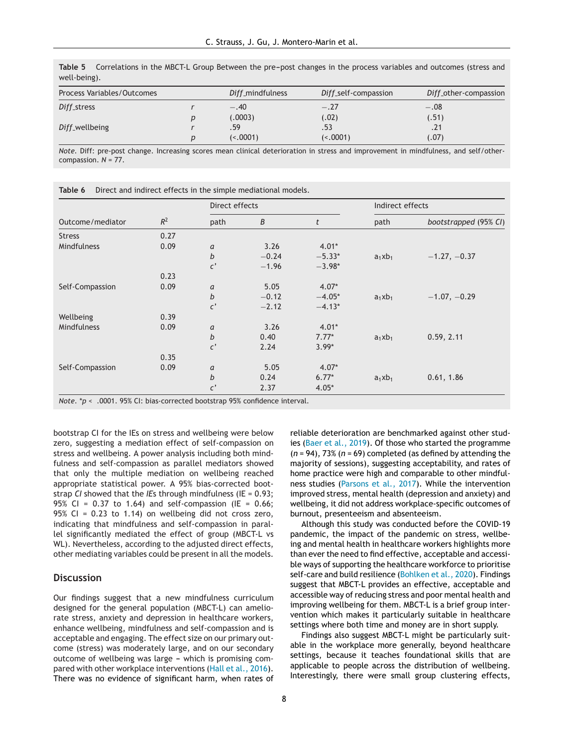| Process Variables/Outcomes |   | Diff_mindfulness | Diff_self-compassion | Diff_other-compassion |
|----------------------------|---|------------------|----------------------|-----------------------|
| Diff_stress                |   | $-.40$           | $-.27$               | $-.08$                |
|                            | D | (.0003)          | (.02)                | (.51)                 |
| Diff_wellbeing             |   | .59              | .53                  | .21                   |
|                            | D | (< .0001)        | (< .0001)            | (.07)                 |

<span id="page-7-0"></span>**Table 5** Correlations in the MBCT-L Group Between the pre-post changes in the process variables and outcomes (stress and well-being).

*Note.* Diff: pre-post change. Increasing scores mean clinical deterioration in stress and improvement in mindfulness, and self/othercompassion. *N* = 77.

|                    |       | Direct effects   |                  |          | Indirect effects |                       |  |
|--------------------|-------|------------------|------------------|----------|------------------|-----------------------|--|
| Outcome/mediator   | $R^2$ | path             | $\boldsymbol{B}$ | t        | path             | bootstrapped (95% CI) |  |
| <b>Stress</b>      | 0.27  |                  |                  |          |                  |                       |  |
| Mindfulness        | 0.09  | a                | 3.26             | $4.01*$  |                  |                       |  |
|                    |       | $\boldsymbol{b}$ | $-0.24$          | $-5.33*$ | $a_1xb_1$        | $-1.27, -0.37$        |  |
|                    |       | $\mathfrak{c}'$  | $-1.96$          | $-3.98*$ |                  |                       |  |
|                    | 0.23  |                  |                  |          |                  |                       |  |
| Self-Compassion    | 0.09  | a                | 5.05             | $4.07*$  |                  |                       |  |
|                    |       | $\boldsymbol{b}$ | $-0.12$          | $-4.05*$ | $a_1xb_1$        | $-1.07, -0.29$        |  |
|                    |       | $\mathfrak{c}'$  | $-2.12$          | $-4.13*$ |                  |                       |  |
| Wellbeing          | 0.39  |                  |                  |          |                  |                       |  |
| <b>Mindfulness</b> | 0.09  | a                | 3.26             | $4.01*$  |                  |                       |  |
|                    |       | $\boldsymbol{b}$ | 0.40             | $7.77*$  | $a_1xb_1$        | 0.59, 2.11            |  |
|                    |       | $\mathfrak{c}'$  | 2.24             | $3.99*$  |                  |                       |  |
|                    | 0.35  |                  |                  |          |                  |                       |  |
| Self-Compassion    | 0.09  | a                | 5.05             | $4.07*$  |                  |                       |  |
|                    |       | $\boldsymbol{b}$ | 0.24             | $6.77*$  | $a_1xb_1$        | 0.61, 1.86            |  |
|                    |       | $\mathfrak{c}'$  | 2.37             | $4.05*$  |                  |                       |  |

**Table 6** Direct and indirect effects in the simple mediational models.

*Note*. \**p* < .0001. 95% CI: bias-corrected bootstrap 95% confidence interval.

bootstrap CI for the IEs on stress and wellbeing were below zero, suggesting a mediation effect of self-compassion on stress and wellbeing. A power analysis including both mindfulness and self-compassion as parallel mediators showed that only the multiple mediation on wellbeing reached appropriate statistical power. A 95% bias-corrected bootstrap *CI* showed that the *IE*s through mindfulness (IE = 0.93; 95% CI =  $0.37$  to 1.64) and self-compassion (IE =  $0.66$ ; 95% CI = 0.23 to 1.14) on wellbeing did not cross zero, indicating that mindfulness and self-compassion in parallel significantly mediated the effect of group (MBCT-L vs WL). Nevertheless, according to the adjusted direct effects, other mediating variables could be present in all the models.

# **Discussion**

Our findings suggest that a new mindfulness curriculum designed for the general population (MBCT-L) can ameliorate stress, anxiety and depression in healthcare workers, enhance wellbeing, mindfulness and self-compassion and is acceptable and engaging. The effect size on our primary outcome (stress) was moderately large, and on our secondary outcome of wellbeing was large - which is promising compared with other workplace interventions [\(Hall](#page-8-0) et [al.,](#page-8-0) [2016\).](#page-8-0) There was no evidence of significant harm, when rates of reliable deterioration are benchmarked against other studies [\(Baer](#page-8-0) et [al.,](#page-8-0) [2019\).](#page-8-0) Of those who started the programme (*n* = 94), 73% (*n* = 69) completed (as defined by attending the majority of sessions), suggesting acceptability, and rates of home practice were high and comparable to other mindfulness studies [\(Parsons](#page-9-0) [et](#page-9-0) [al.,](#page-9-0) [2017\).](#page-9-0) While the intervention improved stress, mental health (depression and anxiety) and wellbeing, it did not address workplace-specific outcomes of burnout, presenteeism and absenteeism.

Although this study was conducted before the COVID-19 pandemic, the impact of the pandemic on stress, wellbeing and mental health in healthcare workers highlights more than ever the need to find effective, acceptable and accessible ways of supporting the healthcare workforce to prioritise self-care and build resilience [\(Bohlken](#page-8-0) et [al.,](#page-8-0) [2020\).](#page-8-0) Findings suggest that MBCT-L provides an effective, acceptable and accessible way of reducing stress and poor mental health and improving wellbeing for them. MBCT-L is a brief group intervention which makes it particularly suitable in healthcare settings where both time and money are in short supply.

Findings also suggest MBCT-L might be particularly suitable in the workplace more generally, beyond healthcare settings, because it teaches foundational skills that are applicable to people across the distribution of wellbeing. Interestingly, there were small group clustering effects,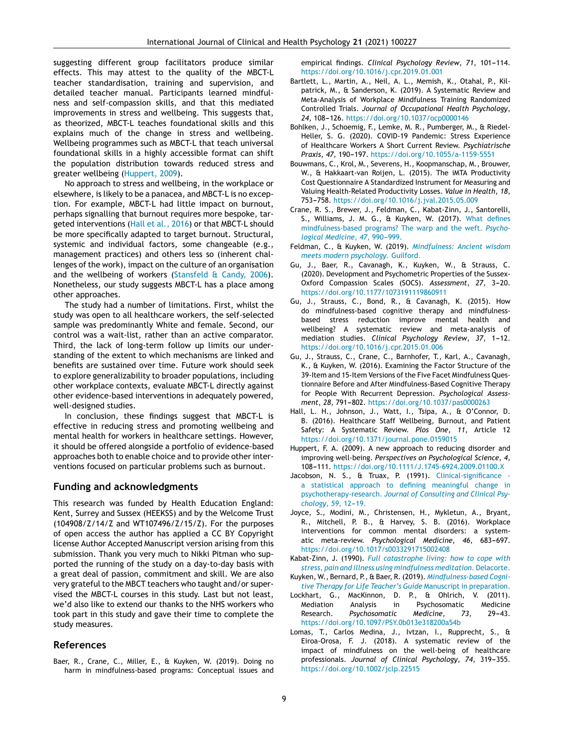<span id="page-8-0"></span>suggesting different group facilitators produce similar effects. This may attest to the quality of the MBCT-L teacher standardisation, training and supervision, and detailed teacher manual. Participants learned mindfulness and self-compassion skills, and that this mediated improvements in stress and wellbeing. This suggests that, as theorized, MBCT-L teaches foundational skills and this explains much of the change in stress and wellbeing. Wellbeing programmes such as MBCT-L that teach universal foundational skills in a highly accessible format can shift the population distribution towards reduced stress and greater wellbeing (Huppert, 2009).

No approach to stress and wellbeing, in the workplace or elsewhere, is likely to be a panacea, and MBCT-L is no exception. For example, MBCT-L had little impact on burnout, perhaps signalling that burnout requires more bespoke, targeted interventions (Hall et al., 2016) or that MBCT-L should be more specifically adapted to target burnout. Structural, systemic and individual factors, some changeable (e.g., management practices) and others less so (inherent challenges of the work), impact on the culture of an organisation and the wellbeing of workers ([Stansfeld](#page-9-0)  $\&$  $\&$  [Candy,](#page-9-0) [2006\).](#page-9-0) Nonetheless, our study suggests MBCT-L has a place among other approaches.

The study had a number of limitations. First, whilst the study was open to all healthcare workers, the self-selected sample was predominantly White and female. Second, our control was a wait-list, rather than an active comparator. Third, the lack of long-term follow up limits our understanding of the extent to which mechanisms are linked and benefits are sustained over time. Future work should seek to explore generalizability to broader populations, including other workplace contexts, evaluate MBCT-L directly against other evidence-based interventions in adequately powered, well-designed studies.

In conclusion, these findings suggest that MBCT-L is effective in reducing stress and promoting wellbeing and mental health for workers in healthcare settings. However, it should be offered alongside a portfolio of evidence-based approaches both to enable choice and to provide other interventions focused on particular problems such as burnout.

# **Funding and acknowledgments**

This research was funded by Health Education England: Kent, Surrey and Sussex (HEEKSS) and by the Welcome Trust (104908/Z/14/Z and WT107496/Z/15/Z). For the purposes of open access the author has applied a CC BY Copyright license Author Accepted Manuscript version arising from this submission. Thank you very much to Nikki Pitman who supported the running of the study on a day-to-day basis with a great deal of passion, commitment and skill. We are also very grateful to the MBCT teachers who taught and/or supervised the MBCT-L courses in this study. Last but not least, we'd also like to extend our thanks to the NHS workers who took part in this study and gave their time to complete the study measures.

## **References**

Baer, R., Crane, C., Miller, E., & Kuyken, W. (2019). Doing no harm in mindfulness-based programs: Conceptual issues and

empirical findings. *Clinical Psychology Review*, 71, 101-114. <https://doi.org/10.1016/j.cpr.2019.01.001>

- Bartlett, L., Martin, A., Neil, A. L., Memish, K., Otahal, P., Kilpatrick, M., & Sanderson, K. (2019). A Systematic Review and Meta-Analysis of Workplace Mindfulness Training Randomized Controlled Trials. *Journal of Occupational Health Psychology*, 24, 108-126. <https://doi.org/10.1037/ocp0000146>
- Bohlken, J., Schoemig, F., Lemke, M. R., Pumberger, M., & Riedel-Heller, S. G. (2020). COVID-19 Pandemic: Stress Experience of Healthcare Workers A Short Current Review. *Psychiatrische Praxis*, *47*, 190---197. <https://doi.org/10.1055/a-1159-5551>
- Bouwmans, C., Krol, M., Severens, H., Koopmanschap, M., Brouwer, W., & Hakkaart-van Roijen, L. (2015). The iMTA Productivity Cost Questionnaire A Standardized Instrument for Measuring and Valuing Health-Related Productivity Losses. *Value in Health*, *18*, 753-758. <https://doi.org/10.1016/j.jval.2015.05.009>
- Crane, R. S., Brewer, J., Feldman, C., Kabat-Zinn, J., Santorelli, S., Williams, J. M. G., & Kuyken, W. (2017). [What](http://refhub.elsevier.com/S2173-5743(19)30124-8/sbref0025) [defines](http://refhub.elsevier.com/S2173-5743(19)30124-8/sbref0025) [mindfulness-based](http://refhub.elsevier.com/S2173-5743(19)30124-8/sbref0025) [programs?](http://refhub.elsevier.com/S2173-5743(19)30124-8/sbref0025) [The](http://refhub.elsevier.com/S2173-5743(19)30124-8/sbref0025) [warp](http://refhub.elsevier.com/S2173-5743(19)30124-8/sbref0025) [and](http://refhub.elsevier.com/S2173-5743(19)30124-8/sbref0025) [the](http://refhub.elsevier.com/S2173-5743(19)30124-8/sbref0025) [weft.](http://refhub.elsevier.com/S2173-5743(19)30124-8/sbref0025) *[Psycho](http://refhub.elsevier.com/S2173-5743(19)30124-8/sbref0025)[logical](http://refhub.elsevier.com/S2173-5743(19)30124-8/sbref0025) [Medicine](http://refhub.elsevier.com/S2173-5743(19)30124-8/sbref0025)*[,](http://refhub.elsevier.com/S2173-5743(19)30124-8/sbref0025) [47](http://refhub.elsevier.com/S2173-5743(19)30124-8/sbref0025), 990-999.
- Feldman, C., & Kuyken, W. (2019). *[Mindfulness:](http://refhub.elsevier.com/S2173-5743(19)30124-8/sbref0030) [Ancient](http://refhub.elsevier.com/S2173-5743(19)30124-8/sbref0030) [wisdom](http://refhub.elsevier.com/S2173-5743(19)30124-8/sbref0030) [meets](http://refhub.elsevier.com/S2173-5743(19)30124-8/sbref0030) [modern](http://refhub.elsevier.com/S2173-5743(19)30124-8/sbref0030) [psychology](http://refhub.elsevier.com/S2173-5743(19)30124-8/sbref0030)*[.](http://refhub.elsevier.com/S2173-5743(19)30124-8/sbref0030) [Guilford.](http://refhub.elsevier.com/S2173-5743(19)30124-8/sbref0030)
- Gu, J., Baer, R., Cavanagh, K., Kuyken, W., & Strauss, C. (2020). Development and Psychometric Properties of the Sussex-Oxford Compassion Scales (SOCS). Assessment, 27, 3-20. <https://doi.org/10.1177/1073191119860911>
- Gu, J., Strauss, C., Bond, R., & Cavanagh, K. (2015). How do mindfulness-based cognitive therapy and mindfulnessbased stress reduction improve mental health and wellbeing? A systematic review and meta-analysis of mediation studies. *Clinical Psychology Review*, 37, 1-12. <https://doi.org/10.1016/j.cpr.2015.01.006>
- Gu, J., Strauss, C., Crane, C., Barnhofer, T., Karl, A., Cavanagh, K., & Kuyken, W. (2016). Examining the Factor Structure of the 39-Item and 15-Item Versions of the Five Facet Mindfulness Questionnaire Before and After Mindfulness-Based Cognitive Therapy for People With Recurrent Depression. *Psychological Assessment*, 28, 791-802. <https://doi.org/10.1037/pas0000263>
- Hall, L. H., Johnson, J., Watt, I., Tsipa, A., & O'Connor, D. B. (2016). Healthcare Staff Wellbeing, Burnout, and Patient Safety: A Systematic Review. *Plos One*, *11*, Article 12 <https://doi.org/10.1371/journal.pone.0159015>
- Huppert, F. A. (2009). A new approach to reducing disorder and improving well-being. *Perspectives on Psychological Science*, *4*, 108-111. <https://doi.org/10.1111/J.1745-6924.2009.01100.X>
- Jacobson, N. S., & Truax, P. (1991). [Clinical-significance](http://refhub.elsevier.com/S2173-5743(19)30124-8/sbref0060) [a](http://refhub.elsevier.com/S2173-5743(19)30124-8/sbref0060) [statistical](http://refhub.elsevier.com/S2173-5743(19)30124-8/sbref0060) [approach](http://refhub.elsevier.com/S2173-5743(19)30124-8/sbref0060) [to](http://refhub.elsevier.com/S2173-5743(19)30124-8/sbref0060) [defining](http://refhub.elsevier.com/S2173-5743(19)30124-8/sbref0060) [meaningful](http://refhub.elsevier.com/S2173-5743(19)30124-8/sbref0060) [change](http://refhub.elsevier.com/S2173-5743(19)30124-8/sbref0060) [in](http://refhub.elsevier.com/S2173-5743(19)30124-8/sbref0060) [psychotherapy-research.](http://refhub.elsevier.com/S2173-5743(19)30124-8/sbref0060) *[Journal](http://refhub.elsevier.com/S2173-5743(19)30124-8/sbref0060) [of](http://refhub.elsevier.com/S2173-5743(19)30124-8/sbref0060) [Consulting](http://refhub.elsevier.com/S2173-5743(19)30124-8/sbref0060) [and](http://refhub.elsevier.com/S2173-5743(19)30124-8/sbref0060) [Clinical](http://refhub.elsevier.com/S2173-5743(19)30124-8/sbref0060) [Psy](http://refhub.elsevier.com/S2173-5743(19)30124-8/sbref0060)[chology](http://refhub.elsevier.com/S2173-5743(19)30124-8/sbref0060)*[,](http://refhub.elsevier.com/S2173-5743(19)30124-8/sbref0060) [59](http://refhub.elsevier.com/S2173-5743(19)30124-8/sbref0060), 12-19.
- Joyce, S., Modini, M., Christensen, H., Mykletun, A., Bryant, R., Mitchell, P. B., & Harvey, S. B. (2016). Workplace interventions for common mental disorders: a systematic meta-review. Psychological Medicine, 46, 683-697. <https://doi.org/10.1017/s0033291715002408>
- Kabat-Zinn, J. (1990). *[Full](http://refhub.elsevier.com/S2173-5743(19)30124-8/sbref0070) [catastrophe](http://refhub.elsevier.com/S2173-5743(19)30124-8/sbref0070) [living:](http://refhub.elsevier.com/S2173-5743(19)30124-8/sbref0070) [how](http://refhub.elsevier.com/S2173-5743(19)30124-8/sbref0070) [to](http://refhub.elsevier.com/S2173-5743(19)30124-8/sbref0070) [cope](http://refhub.elsevier.com/S2173-5743(19)30124-8/sbref0070) [with](http://refhub.elsevier.com/S2173-5743(19)30124-8/sbref0070) [stress,](http://refhub.elsevier.com/S2173-5743(19)30124-8/sbref0070) [pain](http://refhub.elsevier.com/S2173-5743(19)30124-8/sbref0070) [and](http://refhub.elsevier.com/S2173-5743(19)30124-8/sbref0070) [illness](http://refhub.elsevier.com/S2173-5743(19)30124-8/sbref0070) [using](http://refhub.elsevier.com/S2173-5743(19)30124-8/sbref0070) [mindfulness](http://refhub.elsevier.com/S2173-5743(19)30124-8/sbref0070) [meditation](http://refhub.elsevier.com/S2173-5743(19)30124-8/sbref0070)*[.](http://refhub.elsevier.com/S2173-5743(19)30124-8/sbref0070) [Delacorte.](http://refhub.elsevier.com/S2173-5743(19)30124-8/sbref0070)
- Kuyken, W., Bernard, P., & Baer, R. (2019). *[Mindfulness-based](http://refhub.elsevier.com/S2173-5743(19)30124-8/sbref0075) [Cogni](http://refhub.elsevier.com/S2173-5743(19)30124-8/sbref0075)[tive](http://refhub.elsevier.com/S2173-5743(19)30124-8/sbref0075) [Therapy](http://refhub.elsevier.com/S2173-5743(19)30124-8/sbref0075) [for](http://refhub.elsevier.com/S2173-5743(19)30124-8/sbref0075) [Life](http://refhub.elsevier.com/S2173-5743(19)30124-8/sbref0075) [Teacher's](http://refhub.elsevier.com/S2173-5743(19)30124-8/sbref0075) [Guide](http://refhub.elsevier.com/S2173-5743(19)30124-8/sbref0075)* [Manuscript](http://refhub.elsevier.com/S2173-5743(19)30124-8/sbref0075) [in](http://refhub.elsevier.com/S2173-5743(19)30124-8/sbref0075) [preparation.](http://refhub.elsevier.com/S2173-5743(19)30124-8/sbref0075)
- Lockhart, G., MacKinnon, D. P., & Ohlrich, V. (2011). Mediation Analysis in Psychosomatic Medicine Research. *Psychosomatic Medicine*, 73, 29-43. <https://doi.org/10.1097/PSY.0b013e318200a54b>
- Lomas, T., Carlos Medina, J., Ivtzan, I., Rupprecht, S., & Eiroa-Orosa, F. J. (2018). A systematic review of the impact of mindfulness on the well-being of healthcare professionals. Journal of Clinical Psychology, 74, 319-355. <https://doi.org/10.1002/jclp.22515>